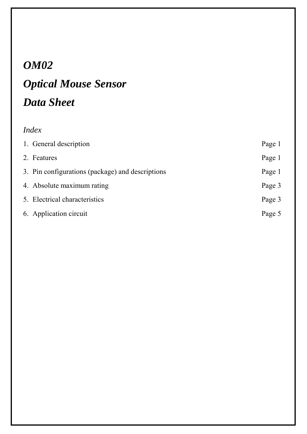## *OM02*

# *Optical Mouse Sensor Data Sheet*

### *Index*

| 1. General description                           | Page 1 |
|--------------------------------------------------|--------|
| 2. Features                                      | Page 1 |
| 3. Pin configurations (package) and descriptions | Page 1 |
| 4. Absolute maximum rating                       | Page 3 |
| 5. Electrical characteristics                    | Page 3 |
| 6. Application circuit                           | Page 5 |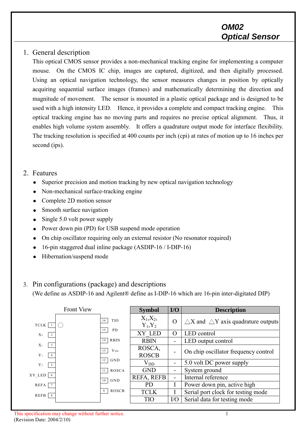#### 1. General description

This optical CMOS sensor provides a non-mechanical tracking engine for implementing a computer mouse. On the CMOS IC chip, images are captured, digitized, and then digitally processed. Using an optical navigation technology, the sensor measures changes in position by optically acquiring sequential surface images (frames) and mathematically determining the direction and magnitude of movement. The sensor is mounted in a plastic optical package and is designed to be used with a high intensity LED. Hence, it provides a complete and compact tracking engine. This optical tracking engine has no moving parts and requires no precise optical alignment. Thus, it enables high volume system assembly. It offers a quadrature output mode for interface flexibility. The tracking resolution is specified at 400 counts per inch (cpi) at rates of motion up to 16 inches per second (ips).

#### 2. Features

- Superior precision and motion tracking by new optical navigation technology
- Non-mechanical surface-tracking engine
- Complete 2D motion sensor
- Smooth surface navigation
- $\bullet$  Single 5.0 volt power supply
- Power down pin (PD) for USB suspend mode operation
- On chip oscillator requiring only an external resistor (No resonator required)
- z 16-pin staggered dual inline package (ASDIP-16 / I-DIP-16)
- Hibernation/suspend mode

#### 3. Pin configurations (package) and descriptions

(We define as ASDIP-16 and Agilent® define as I-DIP-16 which are 16-pin inter-digitated DIP)

| <b>Front View</b>                                  |                   | <b>Symbol</b>             | I/O                      | <b>Description</b>                                      |
|----------------------------------------------------|-------------------|---------------------------|--------------------------|---------------------------------------------------------|
| <b>TCLK</b>                                        | <b>TIO</b><br>16  | $X_1, X_2,$<br>$Y_1, Y_2$ | $\Omega$                 | $\triangle$ X and $\triangle$ Y axis quadrature outputs |
| X <sub>2</sub><br>$\overline{2}$                   | <b>PD</b><br>15   | XY LED                    | O                        | LED control                                             |
| $X_1$                                              | <b>RBIN</b><br>14 | <b>RBIN</b>               |                          | LED output control                                      |
| $\overline{\mathbf{3}}$<br>$Y_1$<br>$\overline{4}$ | $V_{DD}$<br>13    | ROSCA,<br><b>ROSCB</b>    |                          | On chip oscillator frequency control                    |
| Y <sub>2</sub><br>$5^{\circ}$                      | GND<br>12         | $\rm V_{DD}$              | $\blacksquare$           | 5.0 volt DC power supply                                |
|                                                    | ROSCA<br>11       | <b>GND</b>                | -                        | System ground                                           |
| $XY$ LED<br>$\begin{bmatrix} 6 \end{bmatrix}$      | GND<br>10         | REFA, REFB                | $\overline{\phantom{a}}$ | Internal reference                                      |
| REFA<br>$\overline{7}$                             |                   | <b>PD</b>                 |                          | Power down pin, active high                             |
| REFB<br>8                                          | ROSCB<br>9        | <b>TCLK</b>               |                          | Serial port clock for testing mode                      |
|                                                    |                   | <b>TIO</b>                | $\rm U/O$                | Serial data for testing mode                            |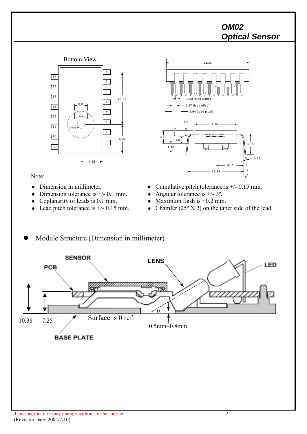

Note:

- Dimension in millimeter.
- Dimension tolerance is  $+/- 0.1$  mm.
- Coplanarity of leads is  $0.1$  mm.
- Lead pitch tolerance is  $+/- 0.15$  mm.

Module Structure (Dimension in millimeter)



- Cumulative pitch tolerance is  $+/- 0.15$  mm.
- Angular tolerance is  $+/- 3^\circ$ .
- Maximum flash is  $+0.2$  mm.
- Chamfer  $(25^{\circ} X 2)$  on the taper side of the lead.



#### This specification may change without further notice. 2 (Revision Date: 2004/2/10)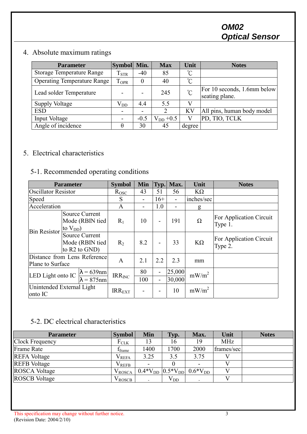#### 4. Absolute maximum ratings

| <b>Parameter</b>                   | Symbol Min.        |          | <b>Max</b>     | Unit                | <b>Notes</b>                                  |
|------------------------------------|--------------------|----------|----------------|---------------------|-----------------------------------------------|
| <b>Storage Temperature Range</b>   | $\mathrm{T_{STR}}$ | $-40$    | 85             | °C                  |                                               |
| <b>Operating Temperature Range</b> | <b>TOPR</b>        | $\theta$ | 40             | $^{\circ}\!{\rm C}$ |                                               |
| Lead solder Temperature            |                    |          | 245            | $\rm ^{\circ}C$     | For 10 seconds, 1.6mm below<br>seating plane. |
| <b>Supply Voltage</b>              | $\rm V_{DD}$       | 4.4      | 5.5            | V)                  |                                               |
| <b>ESD</b>                         |                    |          | $\mathfrak{D}$ | KV                  | All pins, human body model                    |
| Input Voltage                      |                    | $-0.5$   | $V_{DD}$ +0.5  | V                   | PD, TIO, TCLK                                 |
| Angle of incidence                 | θ                  | 30       | 45             | degree              |                                               |

#### 5. Electrical characteristics

#### 5-1. Recommended operating conditions

| <b>Parameter</b>                                             |                                                           | <b>Symbol</b> | <b>Min</b>                   | Typ.   | Max.             | Unit              | <b>Notes</b>                       |
|--------------------------------------------------------------|-----------------------------------------------------------|---------------|------------------------------|--------|------------------|-------------------|------------------------------------|
| <b>Oscillator Resistor</b>                                   |                                                           | $R_{OSC}$     | 43                           | 51     | 56               | $K\Omega$         |                                    |
| Speed                                                        |                                                           | S             | $\qquad \qquad \blacksquare$ | $16+$  | -                | inches/sec        |                                    |
| Acceleration                                                 |                                                           | A             | $\qquad \qquad \blacksquare$ | 1.0    | -                | g                 |                                    |
| <b>Source Current</b><br>Mode (RBIN tied<br>to $V_{DD}$ )    |                                                           | $R_1$         | 10                           |        | 191              | Ω                 | For Application Circuit<br>Type 1. |
| <b>Bin Resistor</b>                                          | <b>Source Current</b><br>Mode (RBIN tied<br>to R2 to GND) | $R_2$         | 8.2                          |        | 33               | $K\Omega$         | For Application Circuit<br>Type 2. |
| Distance from Lens Reference<br>Plane to Surface             |                                                           | $\mathbf{A}$  | 2.1                          | 2.2    | 2.3              | mm                |                                    |
| $\lambda$ = 639nm<br>LED Light onto IC<br>$\lambda = 875$ nm |                                                           | $IRR_{INC}$   | 80<br>100                    | -<br>- | 25,000<br>30,000 | mW/m <sup>2</sup> |                                    |
| onto IC                                                      | Unintended External Light                                 | $IRR_{EXT}$   | $\overline{\phantom{a}}$     |        | 10               | mW/m <sup>2</sup> |                                    |

#### 5-2. DC electrical characteristics

| <b>Parameter</b>       | <b>Symbol</b>  | Min                      | Typ.     | Max.                                   | Unit       | <b>Notes</b> |
|------------------------|----------------|--------------------------|----------|----------------------------------------|------------|--------------|
| <b>Clock Frequency</b> | $F_{\rm CLK}$  | 13                       | 16       | 19                                     | <b>MHz</b> |              |
| <b>Frame Rate</b>      | <b>I</b> frame | 1400                     | 1700     | 2000                                   | frames/sec |              |
| <b>REFA Voltage</b>    | $\rm V_{REFA}$ | 3.25                     | 3.5      | 3.75                                   |            |              |
| <b>REFB</b> Voltage    | $\rm V_{REFB}$ |                          |          |                                        |            |              |
| <b>ROSCA Voltage</b>   | $V_{ROSCA}$    |                          |          | $0.4*V_{DD}$ $0.5*V_{DD}$ $0.6*V_{DD}$ |            |              |
| <b>ROSCB</b> Voltage   | <b>V</b> ROSCB | $\overline{\phantom{a}}$ | $V_{DD}$ |                                        |            |              |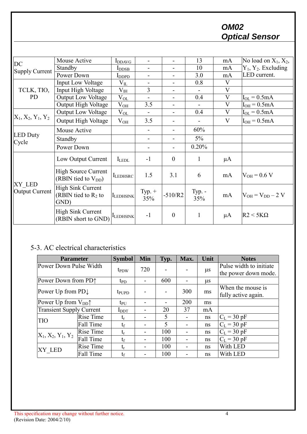| DC                              | Mouse Active                                           | $I_{DDAVG}$       |                          | $\blacksquare$ | 13                       | mA                      | No load on $X_1, X_2,$    |
|---------------------------------|--------------------------------------------------------|-------------------|--------------------------|----------------|--------------------------|-------------------------|---------------------------|
| <b>Supply Current</b>           | Standby                                                | $I_{\text{DDSB}}$ | $\overline{\phantom{0}}$ | $\blacksquare$ | 10                       | mA                      | $Y_1$ , $Y_2$ . Excluding |
|                                 | Power Down                                             | $I_{DDPD}$        | -                        |                | 3.0                      | mA                      | LED current.              |
|                                 | Input Low Voltage                                      | $\rm V_{II}$      |                          |                | 0.8                      | $\mathbf{V}$            |                           |
| TCLK, TIO,                      | Input High Voltage                                     | $\rm V_{IH}$      | 3                        |                |                          | $\overline{\mathsf{V}}$ |                           |
| <b>PD</b>                       | Output Low Voltage                                     | $V_{OL}$          | $\overline{\phantom{0}}$ |                | 0.4                      | $\overline{\mathsf{V}}$ | $I_{OL} = 0.5mA$          |
|                                 | Output High Voltage                                    | $\rm V_{OH}$      | 3.5                      | $\blacksquare$ | $\overline{\phantom{a}}$ | $\overline{V}$          | $I_{OH} = 0.5mA$          |
|                                 | Output Low Voltage                                     | $V_{OL}$          |                          |                | 0.4                      | $\mathbf{V}$            | $I_{OL} = 0.5mA$          |
| $X_1, X_2, Y_1, Y_2$            | Output High Voltage                                    | $\rm V_{OH}$      | 3.5                      |                |                          | $\mathbf V$             | $I_{OH} = 0.5mA$          |
|                                 | Mouse Active                                           |                   | -                        |                | 60%                      |                         |                           |
| <b>LED Duty</b><br>Cycle        | Standby                                                |                   | -                        |                | $5\%$                    |                         |                           |
|                                 | Power Down                                             |                   |                          |                | 0.20%                    |                         |                           |
|                                 | Low Output Current                                     | $I_{LEDL}$        | $-1$                     | $\overline{0}$ | 1                        | $\mu A$                 |                           |
| XY LED<br><b>Output Current</b> | <b>High Source Current</b><br>(RBIN tied to $V_{DD}$ ) | <b>I</b> LEDHSRC  | 1.5                      | 3.1            | 6                        | mA                      | $V_{OH} = 0.6 V$          |
|                                 | High Sink Current<br>(RBIN tied to $R_2$ to<br>GND)    | <b>ILEDHSINK</b>  | Typ. $+$<br>35%          | $-510/R2$      | Typ. $-$<br>35%          | mA                      | $V_{OH} = V_{DD} - 2 V$   |
|                                 | High Sink Current<br>(RBIN short to GND)               | <b>ILEDHSINK</b>  | $-1$                     | $\mathbf{0}$   | $\mathbf{1}$             | $\mu$ A                 | $R2 < 5K\Omega$           |

#### 5-3. AC electrical characteristics

| <b>Parameter</b>                  |           | <b>Symbol</b>     | <b>Min</b> | Typ. | Max.                     | Unit    | <b>Notes</b>            |
|-----------------------------------|-----------|-------------------|------------|------|--------------------------|---------|-------------------------|
| Power Down Pulse Width            |           |                   | 720        |      |                          |         | Pulse width to initiate |
|                                   |           | t <sub>PDW</sub>  |            |      |                          | $\mu$ s | the power down mode.    |
| Power Down from PD↑               |           | $t_{PD}$          |            | 600  | -                        | $\mu$ s |                         |
|                                   |           |                   |            |      | 300                      |         | When the mouse is       |
| Power Up from $PD\downarrow$      |           | $t_{\text{PUPD}}$ |            |      |                          | ms      | fully active again.     |
| Power Up from $V_{DD}$ $\uparrow$ |           | $t_{\rm PU}$      |            |      | 200                      | ms      |                         |
| <b>Transient Supply Current</b>   |           | $I_{\rm DDT}$     |            | 20   | 37                       | mA      |                         |
| <b>TIO</b>                        | Rise Time | $t_{r}$           |            | 5    |                          | ns      | $C_L = 30 pF$           |
|                                   | Fall Time | $t_{\rm f}$       |            | 5    |                          | ns      | $C_L = 30 pF$           |
| $X_1, X_2, Y_1, Y_2$              | Rise Time | $t_r$             |            | 100  | $\overline{\phantom{a}}$ | ns      | $C_{L} = 30$ pF         |
| Fall Time                         |           | $t_f$             |            | 100  |                          | ns      | $C_L$ = 30 pF           |
| XY LED                            | Rise Time | $t_r$             |            | 100  |                          | ns      | With LED                |
|                                   | Fall Time | $t_f$             |            | 100  |                          | ns      | With LED                |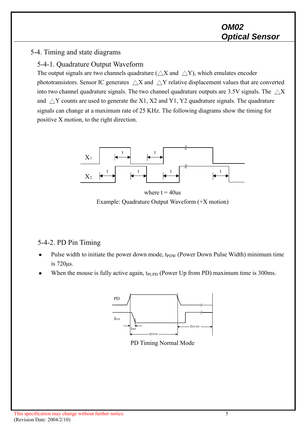#### 5-4. Timing and state diagrams

#### 5-4-1. Quadrature Output Waveform

The output signals are two channels quadrature ( $\triangle X$  and  $\triangle Y$ ), which emulates encoder phototransistors. Sensor IC generates  $\triangle X$  and  $\triangle Y$  relative displacement values that are converted into two channel quadrature signals. The two channel quadrature outputs are 3.5V signals. The  $\triangle X$ and  $\triangle Y$  counts are used to generate the X1, X2 and Y1, Y2 quadrature signals. The quadrature signals can change at a maximum rate of 25 KHz. The following diagrams show the timing for positive X motion, to the right direction.



where  $t = 40$ us Example: Quadrature Output Waveform (+X motion)

#### 5-4-2. PD Pin Timing

- Pulse width to initiate the power down mode, t<sub>PDW</sub> (Power Down Pulse Width) minimum time is 720μs.
- When the mouse is fully active again,  $t_{\text{FUPD}}$  (Power Up from PD) maximum time is 300ms.



PD Timing Normal Mode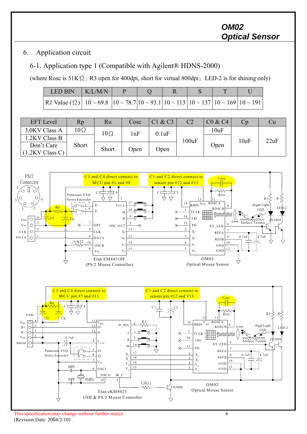#### 6. Application circuit

#### 6-1. Application type 1 (Compatible with Agilent® HDNS-2000)

(where Rosc is  $51K\Omega$ ; R3 open for 400dpi, short for virtual 800dpi; LED-2 is for shining only)

| <b>LED BIN</b>                                                                                                                       | K/L/M/N |  |  |  |
|--------------------------------------------------------------------------------------------------------------------------------------|---------|--|--|--|
| $ R1 \text{ Value } (\Omega)   10 \sim 69.8   10 \sim 78.7   10 \sim 93.1   10 \sim 113   10 \sim 137   10 \sim 169   10 \sim 191  $ |         |  |  |  |

| <b>EFT</b> Level                                                | Rp           | Ru           | Cosc | C1 & C3 | C <sub>2</sub>   | C0 & C4     |      |      |
|-----------------------------------------------------------------|--------------|--------------|------|---------|------------------|-------------|------|------|
| 3.0KV Class A                                                   | $10\,\Omega$ | $10\,\Omega$ | 1nF  | 0.1uF   |                  | 10uF        |      |      |
| 1.2KV Class B                                                   |              |              |      |         | $100$ u $\rm{F}$ |             | 10uF | 22uF |
| Don't Care<br>$(1.2$ KV Class C) <sup><math>\prime</math></sup> | Short        | Short        | Open | Open    |                  | <b>Open</b> |      |      |